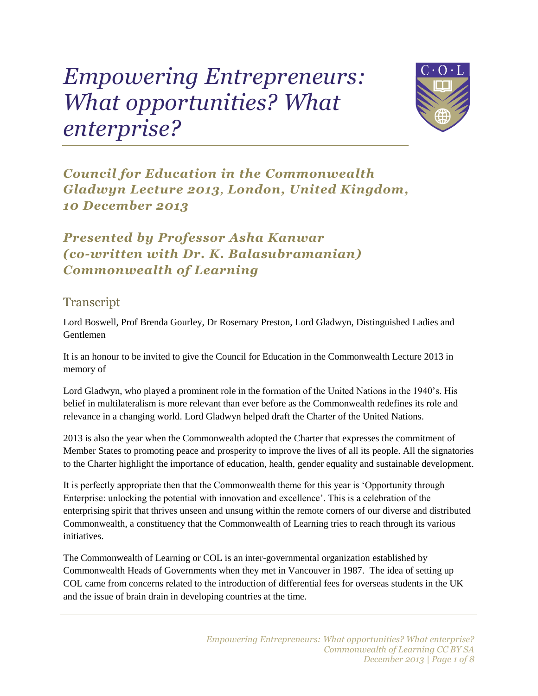## *Empowering Entrepreneurs: What opportunities? What enterprise?*



*Council for Education in the Commonwealth Gladwyn Lecture 2013, London, United Kingdom, 10 December 2013*

*Presented by Professor Asha Kanwar (co-written with Dr. K. Balasubramanian) Commonwealth of Learning*

## **Transcript**

Lord Boswell, Prof Brenda Gourley, Dr Rosemary Preston, Lord Gladwyn, Distinguished Ladies and Gentlemen

It is an honour to be invited to give the Council for Education in the Commonwealth Lecture 2013 in memory of

Lord Gladwyn, who played a prominent role in the formation of the United Nations in the 1940's. His belief in multilateralism is more relevant than ever before as the Commonwealth redefines its role and relevance in a changing world. Lord Gladwyn helped draft the Charter of the United Nations.

2013 is also the year when the Commonwealth adopted the Charter that expresses the commitment of Member States to promoting peace and prosperity to improve the lives of all its people. All the signatories to the Charter highlight the importance of education, health, gender equality and sustainable development.

It is perfectly appropriate then that the Commonwealth theme for this year is 'Opportunity through Enterprise: unlocking the potential with innovation and excellence'. This is a celebration of the enterprising spirit that thrives unseen and unsung within the remote corners of our diverse and distributed Commonwealth, a constituency that the Commonwealth of Learning tries to reach through its various initiatives.

The Commonwealth of Learning or COL is an inter-governmental organization established by Commonwealth Heads of Governments when they met in Vancouver in 1987. The idea of setting up COL came from concerns related to the introduction of differential fees for overseas students in the UK and the issue of brain drain in developing countries at the time.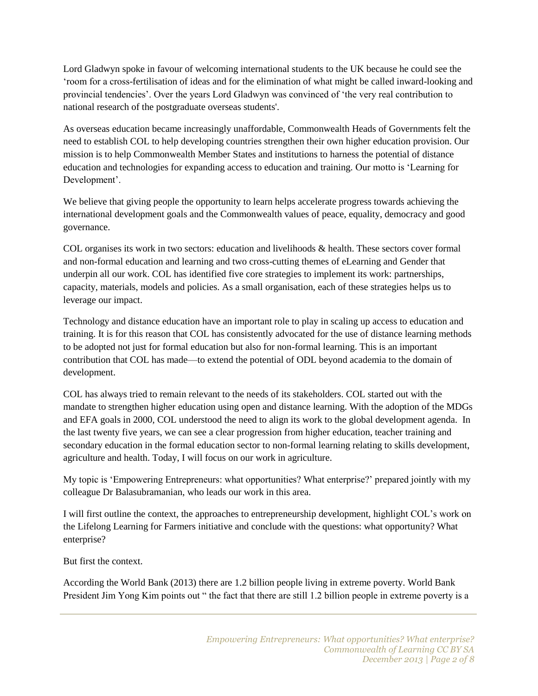Lord Gladwyn spoke in favour of welcoming international students to the UK because he could see the 'room for a cross-fertilisation of ideas and for the elimination of what might be called inward-looking and provincial tendencies'. Over the years Lord Gladwyn was convinced of 'the very real contribution to national research of the postgraduate overseas students'.

As overseas education became increasingly unaffordable, Commonwealth Heads of Governments felt the need to establish COL to help developing countries strengthen their own higher education provision. Our mission is to help Commonwealth Member States and institutions to harness the potential of distance education and technologies for expanding access to education and training. Our motto is 'Learning for Development'.

We believe that giving people the opportunity to learn helps accelerate progress towards achieving the international development goals and the Commonwealth values of peace, equality, democracy and good governance.

COL organises its work in two sectors: education and livelihoods & health. These sectors cover formal and non-formal education and learning and two cross-cutting themes of eLearning and Gender that underpin all our work. COL has identified five core strategies to implement its work: partnerships, capacity, materials, models and policies. As a small organisation, each of these strategies helps us to leverage our impact.

Technology and distance education have an important role to play in scaling up access to education and training. It is for this reason that COL has consistently advocated for the use of distance learning methods to be adopted not just for formal education but also for non-formal learning. This is an important contribution that COL has made—to extend the potential of ODL beyond academia to the domain of development.

COL has always tried to remain relevant to the needs of its stakeholders. COL started out with the mandate to strengthen higher education using open and distance learning. With the adoption of the MDGs and EFA goals in 2000, COL understood the need to align its work to the global development agenda. In the last twenty five years, we can see a clear progression from higher education, teacher training and secondary education in the formal education sector to non-formal learning relating to skills development, agriculture and health. Today, I will focus on our work in agriculture.

My topic is 'Empowering Entrepreneurs: what opportunities? What enterprise?' prepared jointly with my colleague Dr Balasubramanian, who leads our work in this area.

I will first outline the context, the approaches to entrepreneurship development, highlight COL's work on the Lifelong Learning for Farmers initiative and conclude with the questions: what opportunity? What enterprise?

But first the context.

According the World Bank (2013) there are 1.2 billion people living in extreme poverty. World Bank President Jim Yong Kim points out " the fact that there are still 1.2 billion people in extreme poverty is a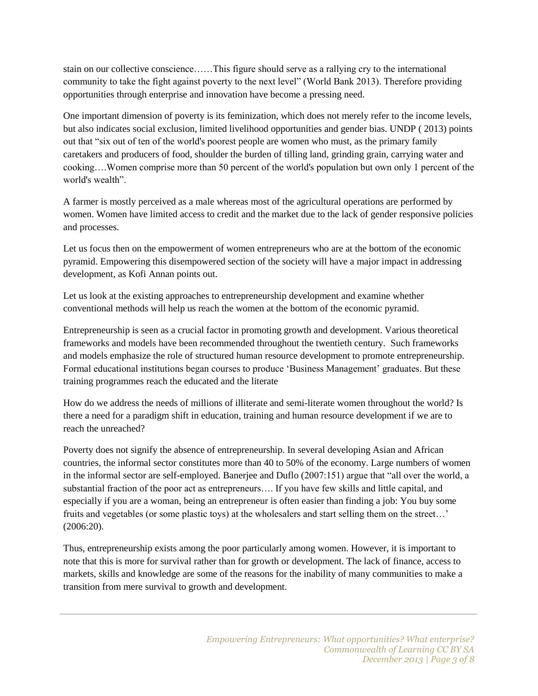stain on our collective conscience……This figure should serve as a rallying cry to the international community to take the fight against poverty to the next level" (World Bank 2013). Therefore providing opportunities through enterprise and innovation have become a pressing need.

One important dimension of poverty is its feminization, which does not merely refer to the income levels, but also indicates social exclusion, limited livelihood opportunities and gender bias. UNDP ( 2013) points out that "six out of ten of the world's poorest people are women who must, as the primary family caretakers and producers of food, shoulder the burden of tilling land, grinding grain, carrying water and cooking….Women comprise more than 50 percent of the world's population but own only 1 percent of the world's wealth".

A farmer is mostly perceived as a male whereas most of the agricultural operations are performed by women. Women have limited access to credit and the market due to the lack of gender responsive policies and processes.

Let us focus then on the empowerment of women entrepreneurs who are at the bottom of the economic pyramid. Empowering this disempowered section of the society will have a major impact in addressing development, as Kofi Annan points out.

Let us look at the existing approaches to entrepreneurship development and examine whether conventional methods will help us reach the women at the bottom of the economic pyramid.

Entrepreneurship is seen as a crucial factor in promoting growth and development. Various theoretical frameworks and models have been recommended throughout the twentieth century. Such frameworks and models emphasize the role of structured human resource development to promote entrepreneurship. Formal educational institutions began courses to produce 'Business Management' graduates. But these training programmes reach the educated and the literate

How do we address the needs of millions of illiterate and semi-literate women throughout the world? Is there a need for a paradigm shift in education, training and human resource development if we are to reach the unreached?

Poverty does not signify the absence of entrepreneurship. In several developing Asian and African countries, the informal sector constitutes more than 40 to 50% of the economy. Large numbers of women in the informal sector are self-employed. Banerjee and Duflo (2007:151) argue that "all over the world, a substantial fraction of the poor act as entrepreneurs…. If you have few skills and little capital, and especially if you are a woman, being an entrepreneur is often easier than finding a job: You buy some fruits and vegetables (or some plastic toys) at the wholesalers and start selling them on the street…' (2006:20).

Thus, entrepreneurship exists among the poor particularly among women. However, it is important to note that this is more for survival rather than for growth or development. The lack of finance, access to markets, skills and knowledge are some of the reasons for the inability of many communities to make a transition from mere survival to growth and development.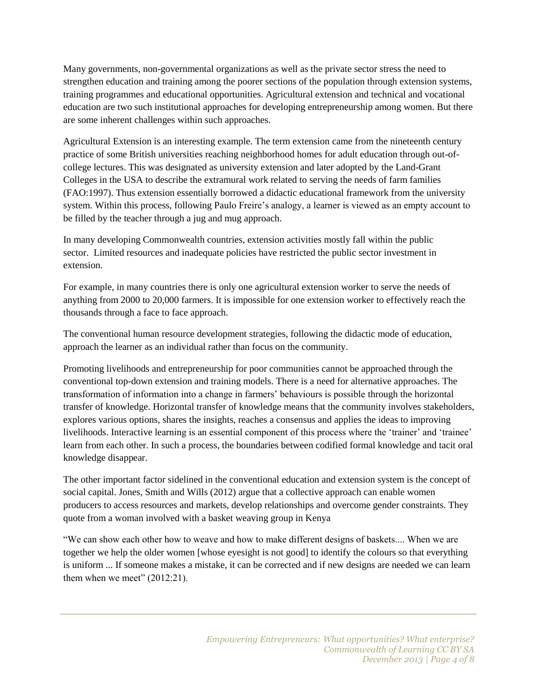Many governments, non-governmental organizations as well as the private sector stress the need to strengthen education and training among the poorer sections of the population through extension systems, training programmes and educational opportunities. Agricultural extension and technical and vocational education are two such institutional approaches for developing entrepreneurship among women. But there are some inherent challenges within such approaches.

Agricultural Extension is an interesting example. The term extension came from the nineteenth century practice of some British universities reaching neighborhood homes for adult education through out-ofcollege lectures. This was designated as university extension and later adopted by the Land-Grant Colleges in the USA to describe the extramural work related to serving the needs of farm families (FAO:1997). Thus extension essentially borrowed a didactic educational framework from the university system. Within this process, following Paulo Freire's analogy, a learner is viewed as an empty account to be filled by the teacher through a jug and mug approach.

In many developing Commonwealth countries, extension activities mostly fall within the public sector. Limited resources and inadequate policies have restricted the public sector investment in extension.

For example, in many countries there is only one agricultural extension worker to serve the needs of anything from 2000 to 20,000 farmers. It is impossible for one extension worker to effectively reach the thousands through a face to face approach.

The conventional human resource development strategies, following the didactic mode of education, approach the learner as an individual rather than focus on the community.

Promoting livelihoods and entrepreneurship for poor communities cannot be approached through the conventional top-down extension and training models. There is a need for alternative approaches. The transformation of information into a change in farmers' behaviours is possible through the horizontal transfer of knowledge. Horizontal transfer of knowledge means that the community involves stakeholders, explores various options, shares the insights, reaches a consensus and applies the ideas to improving livelihoods. Interactive learning is an essential component of this process where the 'trainer' and 'trainee' learn from each other. In such a process, the boundaries between codified formal knowledge and tacit oral knowledge disappear.

The other important factor sidelined in the conventional education and extension system is the concept of social capital. Jones, Smith and Wills (2012) argue that a collective approach can enable women producers to access resources and markets, develop relationships and overcome gender constraints. They quote from a woman involved with a basket weaving group in Kenya

"We can show each other how to weave and how to make different designs of baskets.... When we are together we help the older women [whose eyesight is not good] to identify the colours so that everything is uniform ... If someone makes a mistake, it can be corrected and if new designs are needed we can learn them when we meet" (2012:21).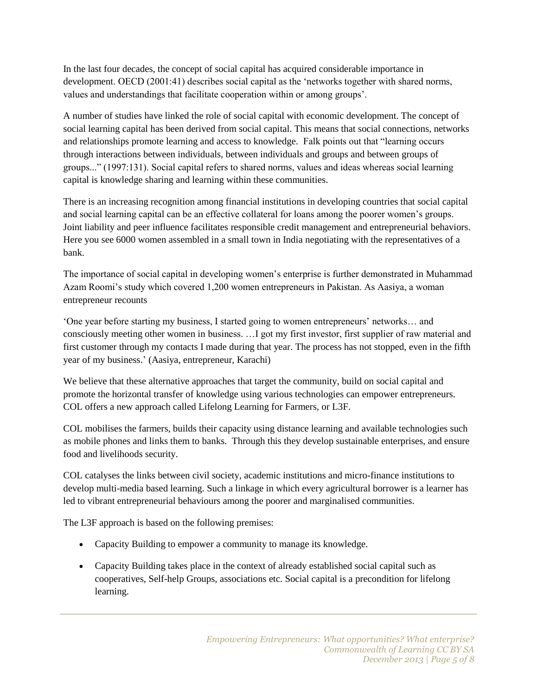In the last four decades, the concept of social capital has acquired considerable importance in development. OECD (2001:41) describes social capital as the 'networks together with shared norms, values and understandings that facilitate cooperation within or among groups'.

A number of studies have linked the role of social capital with economic development. The concept of social learning capital has been derived from social capital. This means that social connections, networks and relationships promote learning and access to knowledge. Falk points out that "learning occurs through interactions between individuals, between individuals and groups and between groups of groups..." (1997:131). Social capital refers to shared norms, values and ideas whereas social learning capital is knowledge sharing and learning within these communities.

There is an increasing recognition among financial institutions in developing countries that social capital and social learning capital can be an effective collateral for loans among the poorer women's groups. Joint liability and peer influence facilitates responsible credit management and entrepreneurial behaviors. Here you see 6000 women assembled in a small town in India negotiating with the representatives of a bank.

The importance of social capital in developing women's enterprise is further demonstrated in Muhammad Azam Roomi's study which covered 1,200 women entrepreneurs in Pakistan. As Aasiya, a woman entrepreneur recounts

'One year before starting my business, I started going to women entrepreneurs' networks… and consciously meeting other women in business. …I got my first investor, first supplier of raw material and first customer through my contacts I made during that year. The process has not stopped, even in the fifth year of my business.' (Aasiya, entrepreneur, Karachi)

We believe that these alternative approaches that target the community, build on social capital and promote the horizontal transfer of knowledge using various technologies can empower entrepreneurs. COL offers a new approach called Lifelong Learning for Farmers, or L3F.

COL mobilises the farmers, builds their capacity using distance learning and available technologies such as mobile phones and links them to banks. Through this they develop sustainable enterprises, and ensure food and livelihoods security.

COL catalyses the links between civil society, academic institutions and micro-finance institutions to develop multi-media based learning. Such a linkage in which every agricultural borrower is a learner has led to vibrant entrepreneurial behaviours among the poorer and marginalised communities.

The L3F approach is based on the following premises:

- Capacity Building to empower a community to manage its knowledge.
- Capacity Building takes place in the context of already established social capital such as cooperatives, Self-help Groups, associations etc. Social capital is a precondition for lifelong learning.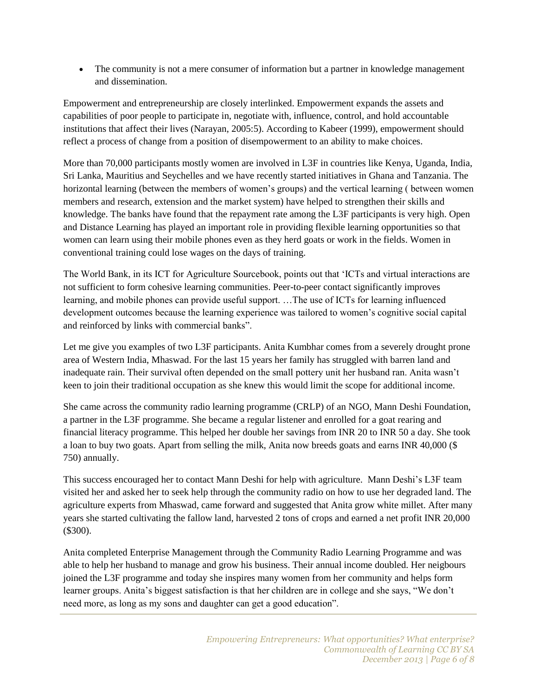• The community is not a mere consumer of information but a partner in knowledge management and dissemination.

Empowerment and entrepreneurship are closely interlinked. Empowerment expands the assets and capabilities of poor people to participate in, negotiate with, influence, control, and hold accountable institutions that affect their lives (Narayan, 2005:5). According to Kabeer (1999), empowerment should reflect a process of change from a position of disempowerment to an ability to make choices.

More than 70,000 participants mostly women are involved in L3F in countries like Kenya, Uganda, India, Sri Lanka, Mauritius and Seychelles and we have recently started initiatives in Ghana and Tanzania. The horizontal learning (between the members of women's groups) and the vertical learning ( between women members and research, extension and the market system) have helped to strengthen their skills and knowledge. The banks have found that the repayment rate among the L3F participants is very high. Open and Distance Learning has played an important role in providing flexible learning opportunities so that women can learn using their mobile phones even as they herd goats or work in the fields. Women in conventional training could lose wages on the days of training.

The World Bank, in its ICT for Agriculture Sourcebook, points out that 'ICTs and virtual interactions are not sufficient to form cohesive learning communities. Peer-to-peer contact significantly improves learning, and mobile phones can provide useful support. …The use of ICTs for learning influenced development outcomes because the learning experience was tailored to women's cognitive social capital and reinforced by links with commercial banks".

Let me give you examples of two L3F participants. Anita Kumbhar comes from a severely drought prone area of Western India, Mhaswad. For the last 15 years her family has struggled with barren land and inadequate rain. Their survival often depended on the small pottery unit her husband ran. Anita wasn't keen to join their traditional occupation as she knew this would limit the scope for additional income.

She came across the community radio learning programme (CRLP) of an NGO, Mann Deshi Foundation, a partner in the L3F programme. She became a regular listener and enrolled for a goat rearing and financial literacy programme. This helped her double her savings from INR 20 to INR 50 a day. She took a loan to buy two goats. Apart from selling the milk, Anita now breeds goats and earns INR 40,000 (\$ 750) annually.

This success encouraged her to contact Mann Deshi for help with agriculture. Mann Deshi's L3F team visited her and asked her to seek help through the community radio on how to use her degraded land. The agriculture experts from Mhaswad, came forward and suggested that Anita grow white millet. After many years she started cultivating the fallow land, harvested 2 tons of crops and earned a net profit INR 20,000 (\$300).

Anita completed Enterprise Management through the Community Radio Learning Programme and was able to help her husband to manage and grow his business. Their annual income doubled. Her neigbours joined the L3F programme and today she inspires many women from her community and helps form learner groups. Anita's biggest satisfaction is that her children are in college and she says, "We don't need more, as long as my sons and daughter can get a good education".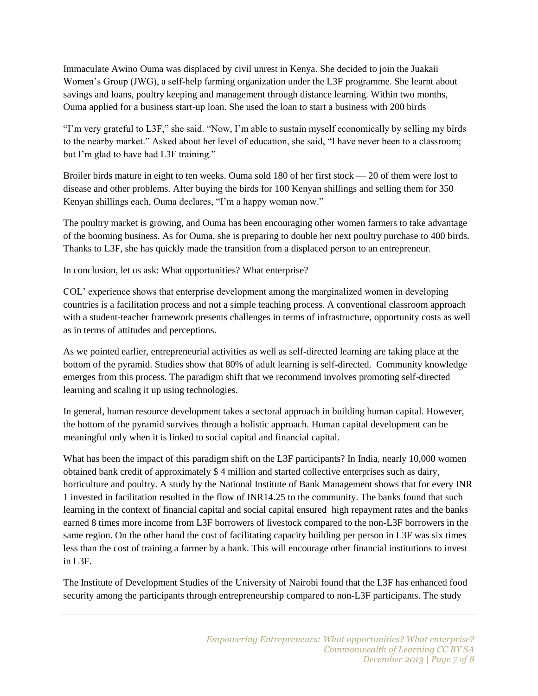Immaculate Awino Ouma was displaced by civil unrest in Kenya. She decided to join the Juakaii Women's Group (JWG), a self-help farming organization under the L3F programme. She learnt about savings and loans, poultry keeping and management through distance learning. Within two months, Ouma applied for a business start-up loan. She used the loan to start a business with 200 birds

"I'm very grateful to L3F," she said. "Now, I'm able to sustain myself economically by selling my birds to the nearby market." Asked about her level of education, she said, "I have never been to a classroom; but I'm glad to have had L3F training."

Broiler birds mature in eight to ten weeks. Ouma sold 180 of her first stock — 20 of them were lost to disease and other problems. After buying the birds for 100 Kenyan shillings and selling them for 350 Kenyan shillings each, Ouma declares, "I'm a happy woman now."

The poultry market is growing, and Ouma has been encouraging other women farmers to take advantage of the booming business. As for Ouma, she is preparing to double her next poultry purchase to 400 birds. Thanks to L3F, she has quickly made the transition from a displaced person to an entrepreneur.

In conclusion, let us ask: What opportunities? What enterprise?

COL' experience shows that enterprise development among the marginalized women in developing countries is a facilitation process and not a simple teaching process. A conventional classroom approach with a student-teacher framework presents challenges in terms of infrastructure, opportunity costs as well as in terms of attitudes and perceptions.

As we pointed earlier, entrepreneurial activities as well as self-directed learning are taking place at the bottom of the pyramid. Studies show that 80% of adult learning is self-directed. Community knowledge emerges from this process. The paradigm shift that we recommend involves promoting self-directed learning and scaling it up using technologies.

In general, human resource development takes a sectoral approach in building human capital. However, the bottom of the pyramid survives through a holistic approach. Human capital development can be meaningful only when it is linked to social capital and financial capital.

What has been the impact of this paradigm shift on the L3F participants? In India, nearly 10,000 women obtained bank credit of approximately \$ 4 million and started collective enterprises such as dairy, horticulture and poultry. A study by the National Institute of Bank Management shows that for every INR 1 invested in facilitation resulted in the flow of INR14.25 to the community. The banks found that such learning in the context of financial capital and social capital ensured high repayment rates and the banks earned 8 times more income from L3F borrowers of livestock compared to the non-L3F borrowers in the same region. On the other hand the cost of facilitating capacity building per person in L3F was six times less than the cost of training a farmer by a bank. This will encourage other financial institutions to invest in L3F.

The Institute of Development Studies of the University of Nairobi found that the L3F has enhanced food security among the participants through entrepreneurship compared to non-L3F participants. The study